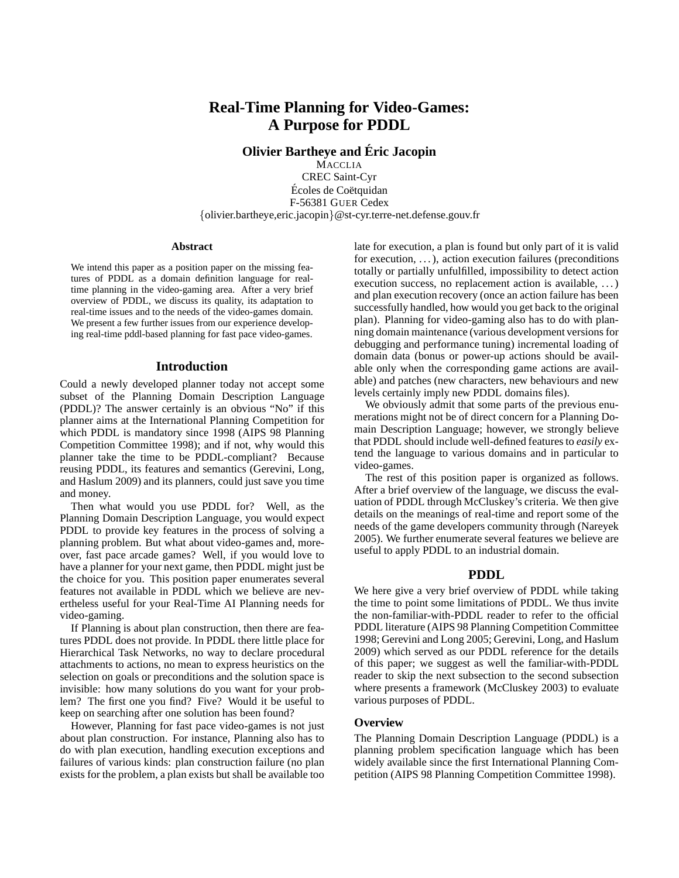# **Real-Time Planning for Video-Games: A Purpose for PDDL**

**Olivier Bartheye and Eric Jacopin ´**

**MACCLIA** CREC Saint-Cyr Écoles de Coëtquidan F-56381 GUER Cedex {olivier.bartheye,eric.jacopin}@st-cyr.terre-net.defense.gouv.fr

#### **Abstract**

We intend this paper as a position paper on the missing features of PDDL as a domain definition language for realtime planning in the video-gaming area. After a very brief overview of PDDL, we discuss its quality, its adaptation to real-time issues and to the needs of the video-games domain. We present a few further issues from our experience developing real-time pddl-based planning for fast pace video-games.

### **Introduction**

Could a newly developed planner today not accept some subset of the Planning Domain Description Language (PDDL)? The answer certainly is an obvious "No" if this planner aims at the International Planning Competition for which PDDL is mandatory since 1998 (AIPS 98 Planning Competition Committee 1998); and if not, why would this planner take the time to be PDDL-compliant? Because reusing PDDL, its features and semantics (Gerevini, Long, and Haslum 2009) and its planners, could just save you time and money.

Then what would you use PDDL for? Well, as the Planning Domain Description Language, you would expect PDDL to provide key features in the process of solving a planning problem. But what about video-games and, moreover, fast pace arcade games? Well, if you would love to have a planner for your next game, then PDDL might just be the choice for you. This position paper enumerates several features not available in PDDL which we believe are nevertheless useful for your Real-Time AI Planning needs for video-gaming.

If Planning is about plan construction, then there are features PDDL does not provide. In PDDL there little place for Hierarchical Task Networks, no way to declare procedural attachments to actions, no mean to express heuristics on the selection on goals or preconditions and the solution space is invisible: how many solutions do you want for your problem? The first one you find? Five? Would it be useful to keep on searching after one solution has been found?

However, Planning for fast pace video-games is not just about plan construction. For instance, Planning also has to do with plan execution, handling execution exceptions and failures of various kinds: plan construction failure (no plan exists for the problem, a plan exists but shall be available too late for execution, a plan is found but only part of it is valid for execution, ...), action execution failures (preconditions totally or partially unfulfilled, impossibility to detect action execution success, no replacement action is available, ...) and plan execution recovery (once an action failure has been successfully handled, how would you get back to the original plan). Planning for video-gaming also has to do with planning domain maintenance (various development versions for debugging and performance tuning) incremental loading of domain data (bonus or power-up actions should be available only when the corresponding game actions are available) and patches (new characters, new behaviours and new levels certainly imply new PDDL domains files).

We obviously admit that some parts of the previous enumerations might not be of direct concern for a Planning Domain Description Language; however, we strongly believe that PDDL should include well-defined features to *easily* extend the language to various domains and in particular to video-games.

The rest of this position paper is organized as follows. After a brief overview of the language, we discuss the evaluation of PDDL through McCluskey's criteria. We then give details on the meanings of real-time and report some of the needs of the game developers community through (Nareyek 2005). We further enumerate several features we believe are useful to apply PDDL to an industrial domain.

#### **PDDL**

We here give a very brief overview of PDDL while taking the time to point some limitations of PDDL. We thus invite the non-familiar-with-PDDL reader to refer to the official PDDL literature (AIPS 98 Planning Competition Committee 1998; Gerevini and Long 2005; Gerevini, Long, and Haslum 2009) which served as our PDDL reference for the details of this paper; we suggest as well the familiar-with-PDDL reader to skip the next subsection to the second subsection where presents a framework (McCluskey 2003) to evaluate various purposes of PDDL.

#### **Overview**

The Planning Domain Description Language (PDDL) is a planning problem specification language which has been widely available since the first International Planning Competition (AIPS 98 Planning Competition Committee 1998).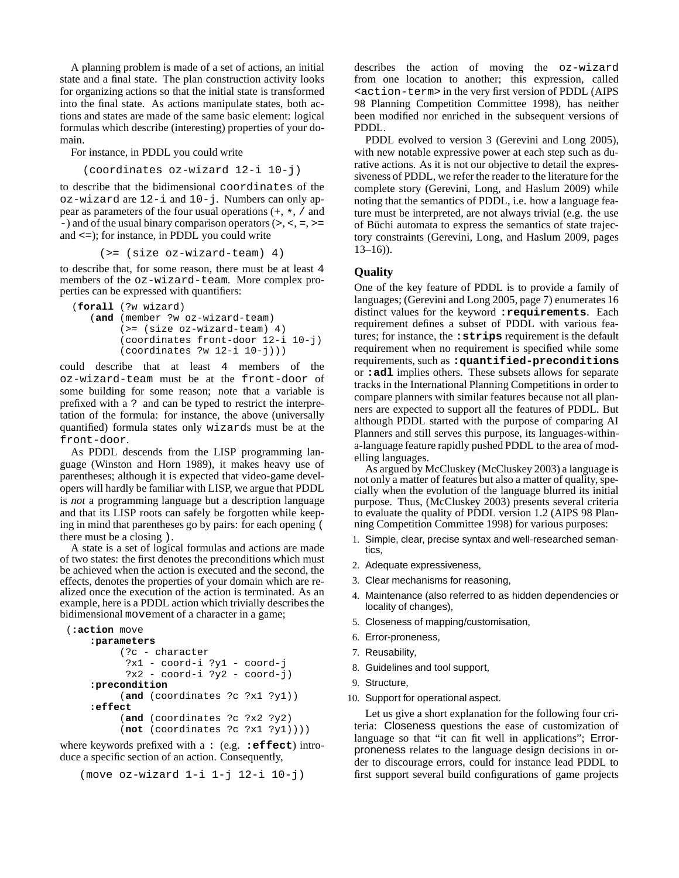A planning problem is made of a set of actions, an initial state and a final state. The plan construction activity looks for organizing actions so that the initial state is transformed into the final state. As actions manipulate states, both actions and states are made of the same basic element: logical formulas which describe (interesting) properties of your domain.

For instance, in PDDL you could write

(coordinates oz-wizard 12-i 10-j)

to describe that the bidimensional coordinates of the oz-wizard are 12-i and 10-j. Numbers can only appear as parameters of the four usual operations (+, \*, / and -) and of the usual binary comparison operators  $(>, <, =, >=$ and <=); for instance, in PDDL you could write

(>= (size oz-wizard-team) 4)

to describe that, for some reason, there must be at least 4 members of the oz-wizard-team. More complex properties can be expressed with quantifiers:

```
(forall (?w wizard)
(and (member ?w oz-wizard-team)
     (>= (size oz-wizard-team) 4)
     (coordinates front-door 12-i 10-j)
     (coordinates ?w 12-i 10-j)))
```
could describe that at least 4 members of the oz-wizard-team must be at the front-door of some building for some reason; note that a variable is prefixed with a ? and can be typed to restrict the interpretation of the formula: for instance, the above (universally quantified) formula states only wizards must be at the front-door.

As PDDL descends from the LISP programming language (Winston and Horn 1989), it makes heavy use of parentheses; although it is expected that video-game developers will hardly be familiar with LISP, we argue that PDDL is *not* a programming language but a description language and that its LISP roots can safely be forgotten while keeping in mind that parentheses go by pairs: for each opening ( there must be a closing ).

A state is a set of logical formulas and actions are made of two states: the first denotes the preconditions which must be achieved when the action is executed and the second, the effects, denotes the properties of your domain which are realized once the execution of the action is terminated. As an example, here is a PDDL action which trivially describes the bidimensional movement of a character in a game;

```
(:action move
 :parameters
      (?c - character
       ?x1 - coord-i ?y1 - coord-j
       ?x2 - coord-i ?y2 - coord-j)
 :precondition
      (and (coordinates ?c ?x1 ?y1))
 :effect
      (and (coordinates ?c ?x2 ?y2)
      (not (coordinates ?c ?x1 ?y1))))
```
where keywords prefixed with a : (e.g. **:effect**) introduce a specific section of an action. Consequently,

```
(move oz-wizard 1-i 1-j 12-i 10-j)
```
describes the action of moving the oz-wizard from one location to another; this expression, called <action-term> in the very first version of PDDL (AIPS 98 Planning Competition Committee 1998), has neither been modified nor enriched in the subsequent versions of PDDL.

PDDL evolved to version 3 (Gerevini and Long 2005), with new notable expressive power at each step such as durative actions. As it is not our objective to detail the expressiveness of PDDL, we refer the reader to the literature for the complete story (Gerevini, Long, and Haslum 2009) while noting that the semantics of PDDL, i.e. how a language feature must be interpreted, are not always trivial (e.g. the use of Büchi automata to express the semantics of state trajectory constraints (Gerevini, Long, and Haslum 2009, pages  $13-16$ )).

### **Quality**

One of the key feature of PDDL is to provide a family of languages; (Gerevini and Long 2005, page 7) enumerates 16 distinct values for the keyword **:requirements**. Each requirement defines a subset of PDDL with various features; for instance, the **:strips** requirement is the default requirement when no requirement is specified while some requirements, such as **:quantified-preconditions** or **:adl** implies others. These subsets allows for separate tracks in the International Planning Competitions in order to compare planners with similar features because not all planners are expected to support all the features of PDDL. But although PDDL started with the purpose of comparing AI Planners and still serves this purpose, its languages-withina-language feature rapidly pushed PDDL to the area of modelling languages.

As argued by McCluskey (McCluskey 2003) a language is not only a matter of features but also a matter of quality, specially when the evolution of the language blurred its initial purpose. Thus, (McCluskey 2003) presents several criteria to evaluate the quality of PDDL version 1.2 (AIPS 98 Planning Competition Committee 1998) for various purposes:

- 1. Simple, clear, precise syntax and well-researched semantics,
- 2. Adequate expressiveness,
- 3. Clear mechanisms for reasoning,
- 4. Maintenance (also referred to as hidden dependencies or locality of changes),
- 5. Closeness of mapping/customisation,
- 6. Error-proneness,
- 7. Reusability,
- 8. Guidelines and tool support,
- 9. Structure,
- 10. Support for operational aspect.

Let us give a short explanation for the following four criteria: Closeness questions the ease of customization of language so that "it can fit well in applications"; Errorproneness relates to the language design decisions in order to discourage errors, could for instance lead PDDL to first support several build configurations of game projects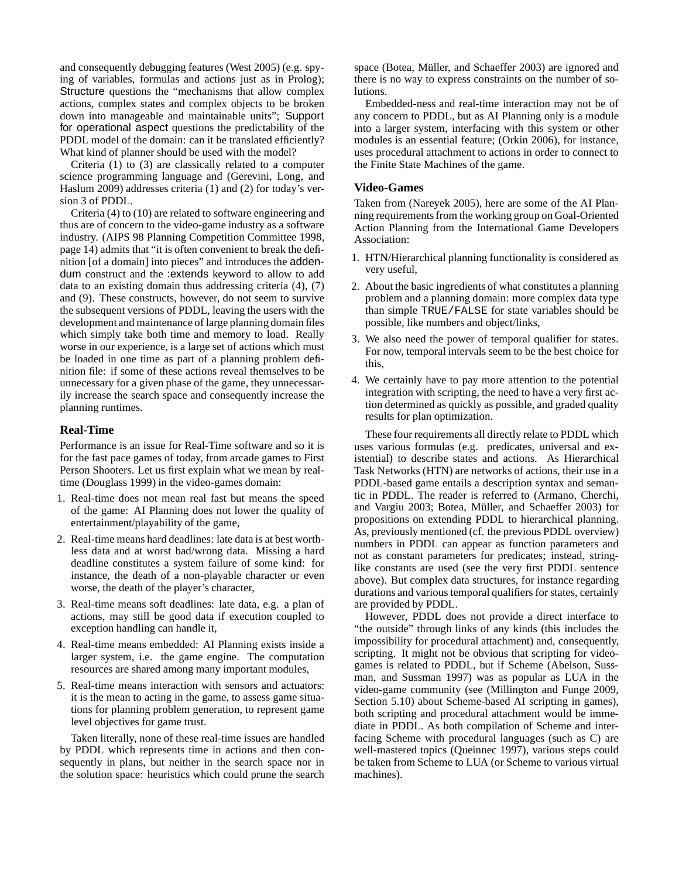and consequently debugging features (West 2005) (e.g. spying of variables, formulas and actions just as in Prolog); Structure questions the "mechanisms that allow complex actions, complex states and complex objects to be broken down into manageable and maintainable units"; Support for operational aspect questions the predictability of the PDDL model of the domain: can it be translated efficiently? What kind of planner should be used with the model?

Criteria  $(1)$  to  $(3)$  are classically related to a computer science programming language and (Gerevini, Long, and Haslum 2009) addresses criteria (1) and (2) for today's version 3 of PDDL.

Criteria (4) to (10) are related to software engineering and thus are of concern to the video-game industry as a software industry. (AIPS 98 Planning Competition Committee 1998, page 14) admits that "it is often convenient to break the definition [of a domain] into pieces" and introduces the addendum construct and the :extends keyword to allow to add data to an existing domain thus addressing criteria (4), (7) and (9). These constructs, however, do not seem to survive the subsequent versions of PDDL, leaving the users with the development and maintenance of large planning domain files which simply take both time and memory to load. Really worse in our experience, is a large set of actions which must be loaded in one time as part of a planning problem definition file: if some of these actions reveal themselves to be unnecessary for a given phase of the game, they unnecessarily increase the search space and consequently increase the planning runtimes.

### **Real-Time**

Performance is an issue for Real-Time software and so it is for the fast pace games of today, from arcade games to First Person Shooters. Let us first explain what we mean by realtime (Douglass 1999) in the video-games domain:

- 1. Real-time does not mean real fast but means the speed of the game: AI Planning does not lower the quality of entertainment/playability of the game,
- 2. Real-time means hard deadlines: late data is at best worthless data and at worst bad/wrong data. Missing a hard deadline constitutes a system failure of some kind: for instance, the death of a non-playable character or even worse, the death of the player's character,
- 3. Real-time means soft deadlines: late data, e.g. a plan of actions, may still be good data if execution coupled to exception handling can handle it,
- 4. Real-time means embedded: AI Planning exists inside a larger system, i.e. the game engine. The computation resources are shared among many important modules,
- 5. Real-time means interaction with sensors and actuators: it is the mean to acting in the game, to assess game situations for planning problem generation, to represent game level objectives for game trust.

Taken literally, none of these real-time issues are handled by PDDL which represents time in actions and then consequently in plans, but neither in the search space nor in the solution space: heuristics which could prune the search space (Botea, Müller, and Schaeffer 2003) are ignored and there is no way to express constraints on the number of solutions.

Embedded-ness and real-time interaction may not be of any concern to PDDL, but as AI Planning only is a module into a larger system, interfacing with this system or other modules is an essential feature; (Orkin 2006), for instance, uses procedural attachment to actions in order to connect to the Finite State Machines of the game.

#### **Video-Games**

Taken from (Nareyek 2005), here are some of the AI Planning requirements from the working group on Goal-Oriented Action Planning from the International Game Developers Association:

- 1. HTN/Hierarchical planning functionality is considered as very useful,
- 2. About the basic ingredients of what constitutes a planning problem and a planning domain: more complex data type than simple TRUE/FALSE for state variables should be possible, like numbers and object/links,
- 3. We also need the power of temporal qualifier for states. For now, temporal intervals seem to be the best choice for this,
- 4. We certainly have to pay more attention to the potential integration with scripting, the need to have a very first action determined as quickly as possible, and graded quality results for plan optimization.

These four requirements all directly relate to PDDL which uses various formulas (e.g. predicates, universal and existential) to describe states and actions. As Hierarchical Task Networks (HTN) are networks of actions, their use in a PDDL-based game entails a description syntax and semantic in PDDL. The reader is referred to (Armano, Cherchi, and Vargiu 2003; Botea, Müller, and Schaeffer 2003) for propositions on extending PDDL to hierarchical planning. As, previously mentioned (cf. the previous PDDL overview) numbers in PDDL can appear as function parameters and not as constant parameters for predicates; instead, stringlike constants are used (see the very first PDDL sentence above). But complex data structures, for instance regarding durations and various temporal qualifiers for states, certainly are provided by PDDL.

However, PDDL does not provide a direct interface to "the outside" through links of any kinds (this includes the impossibility for procedural attachment) and, consequently, scripting. It might not be obvious that scripting for videogames is related to PDDL, but if Scheme (Abelson, Sussman, and Sussman 1997) was as popular as LUA in the video-game community (see (Millington and Funge 2009, Section 5.10) about Scheme-based AI scripting in games), both scripting and procedural attachment would be immediate in PDDL. As both compilation of Scheme and interfacing Scheme with procedural languages (such as C) are well-mastered topics (Queinnec 1997), various steps could be taken from Scheme to LUA (or Scheme to various virtual machines).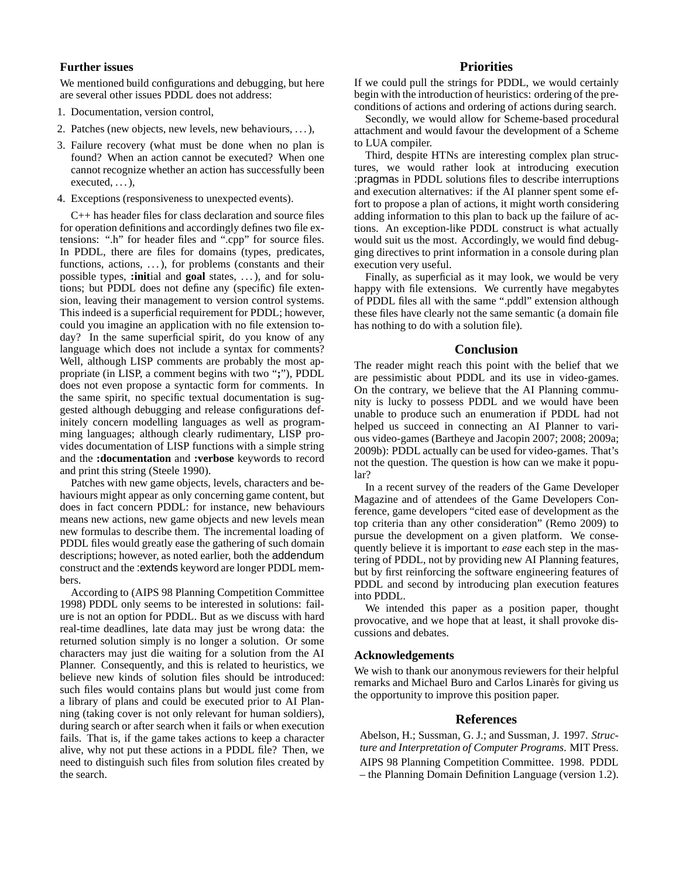## **Further issues**

We mentioned build configurations and debugging, but here are several other issues PDDL does not address:

- 1. Documentation, version control,
- 2. Patches (new objects, new levels, new behaviours, . . . ),
- 3. Failure recovery (what must be done when no plan is found? When an action cannot be executed? When one cannot recognize whether an action has successfully been executed,  $\dots$ ),
- 4. Exceptions (responsiveness to unexpected events).

C++ has header files for class declaration and source files for operation definitions and accordingly defines two file extensions: ".h" for header files and ".cpp" for source files. In PDDL, there are files for domains (types, predicates, functions, actions, ...), for problems (constants and their possible types, **:init**ial and **goal** states, . . . ), and for solutions; but PDDL does not define any (specific) file extension, leaving their management to version control systems. This indeed is a superficial requirement for PDDL; however, could you imagine an application with no file extension today? In the same superficial spirit, do you know of any language which does not include a syntax for comments? Well, although LISP comments are probably the most appropriate (in LISP, a comment begins with two "**;**"), PDDL does not even propose a syntactic form for comments. In the same spirit, no specific textual documentation is suggested although debugging and release configurations definitely concern modelling languages as well as programming languages; although clearly rudimentary, LISP provides documentation of LISP functions with a simple string and the **:documentation** and **:verbose** keywords to record and print this string (Steele 1990).

Patches with new game objects, levels, characters and behaviours might appear as only concerning game content, but does in fact concern PDDL: for instance, new behaviours means new actions, new game objects and new levels mean new formulas to describe them. The incremental loading of PDDL files would greatly ease the gathering of such domain descriptions; however, as noted earlier, both the addendum construct and the :extends keyword are longer PDDL members.

According to (AIPS 98 Planning Competition Committee 1998) PDDL only seems to be interested in solutions: failure is not an option for PDDL. But as we discuss with hard real-time deadlines, late data may just be wrong data: the returned solution simply is no longer a solution. Or some characters may just die waiting for a solution from the AI Planner. Consequently, and this is related to heuristics, we believe new kinds of solution files should be introduced: such files would contains plans but would just come from a library of plans and could be executed prior to AI Planning (taking cover is not only relevant for human soldiers), during search or after search when it fails or when execution fails. That is, if the game takes actions to keep a character alive, why not put these actions in a PDDL file? Then, we need to distinguish such files from solution files created by the search.

## **Priorities**

If we could pull the strings for PDDL, we would certainly begin with the introduction of heuristics: ordering of the preconditions of actions and ordering of actions during search.

Secondly, we would allow for Scheme-based procedural attachment and would favour the development of a Scheme to LUA compiler.

Third, despite HTNs are interesting complex plan structures, we would rather look at introducing execution :pragmas in PDDL solutions files to describe interruptions and execution alternatives: if the AI planner spent some effort to propose a plan of actions, it might worth considering adding information to this plan to back up the failure of actions. An exception-like PDDL construct is what actually would suit us the most. Accordingly, we would find debugging directives to print information in a console during plan execution very useful.

Finally, as superficial as it may look, we would be very happy with file extensions. We currently have megabytes of PDDL files all with the same ".pddl" extension although these files have clearly not the same semantic (a domain file has nothing to do with a solution file).

#### **Conclusion**

The reader might reach this point with the belief that we are pessimistic about PDDL and its use in video-games. On the contrary, we believe that the AI Planning community is lucky to possess PDDL and we would have been unable to produce such an enumeration if PDDL had not helped us succeed in connecting an AI Planner to various video-games (Bartheye and Jacopin 2007; 2008; 2009a; 2009b): PDDL actually can be used for video-games. That's not the question. The question is how can we make it popular?

In a recent survey of the readers of the Game Developer Magazine and of attendees of the Game Developers Conference, game developers "cited ease of development as the top criteria than any other consideration" (Remo 2009) to pursue the development on a given platform. We consequently believe it is important to *ease* each step in the mastering of PDDL, not by providing new AI Planning features, but by first reinforcing the software engineering features of PDDL and second by introducing plan execution features into PDDL.

We intended this paper as a position paper, thought provocative, and we hope that at least, it shall provoke discussions and debates.

#### **Acknowledgements**

We wish to thank our anonymous reviewers for their helpful remarks and Michael Buro and Carlos Linarès for giving us the opportunity to improve this position paper.

#### **References**

Abelson, H.; Sussman, G. J.; and Sussman, J. 1997. *Structure and Interpretation of Computer Programs*. MIT Press. AIPS 98 Planning Competition Committee. 1998. PDDL – the Planning Domain Definition Language (version 1.2).